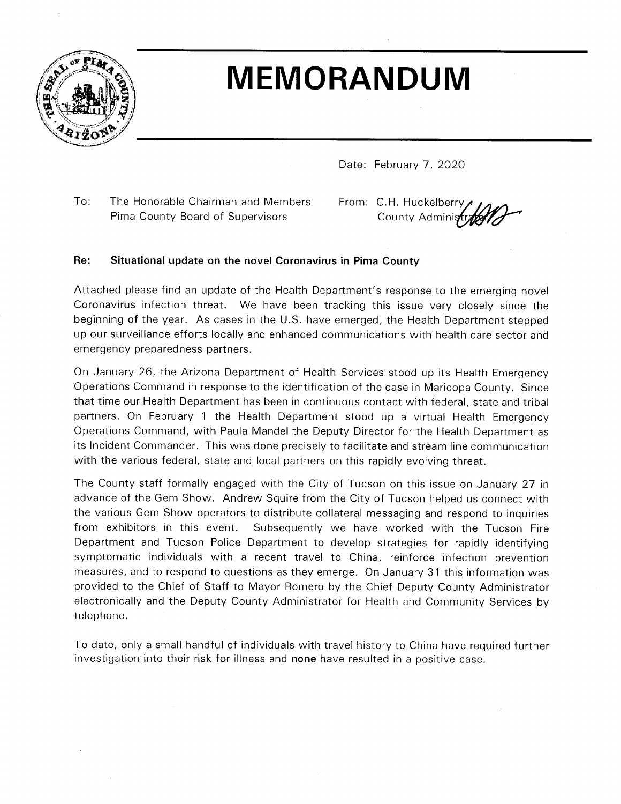

# **MEMORANDUM**

Date: February 7, 2020

To: The Honorable Chairman and Members Pima County Board of Supervisors

From: C.H. Huckelberry County Administrate

#### Situational update on the novel Coronavirus in Pima County  $Re:$

Attached please find an update of the Health Department's response to the emerging novel Coronavirus infection threat. We have been tracking this issue very closely since the beginning of the year. As cases in the U.S. have emerged, the Health Department stepped up our surveillance efforts locally and enhanced communications with health care sector and emergency preparedness partners.

On January 26, the Arizona Department of Health Services stood up its Health Emergency Operations Command in response to the identification of the case in Maricopa County. Since that time our Health Department has been in continuous contact with federal, state and tribal partners. On February 1 the Health Department stood up a virtual Health Emergency Operations Command, with Paula Mandel the Deputy Director for the Health Department as its Incident Commander. This was done precisely to facilitate and stream line communication with the various federal, state and local partners on this rapidly evolving threat.

The County staff formally engaged with the City of Tucson on this issue on January 27 in advance of the Gem Show. Andrew Squire from the City of Tucson helped us connect with the various Gem Show operators to distribute collateral messaging and respond to inquiries from exhibitors in this event. Subsequently we have worked with the Tucson Fire Department and Tucson Police Department to develop strategies for rapidly identifying symptomatic individuals with a recent travel to China, reinforce infection prevention measures, and to respond to questions as they emerge. On January 31 this information was provided to the Chief of Staff to Mayor Romero by the Chief Deputy County Administrator electronically and the Deputy County Administrator for Health and Community Services by telephone.

To date, only a small handful of individuals with travel history to China have required further investigation into their risk for illness and none have resulted in a positive case.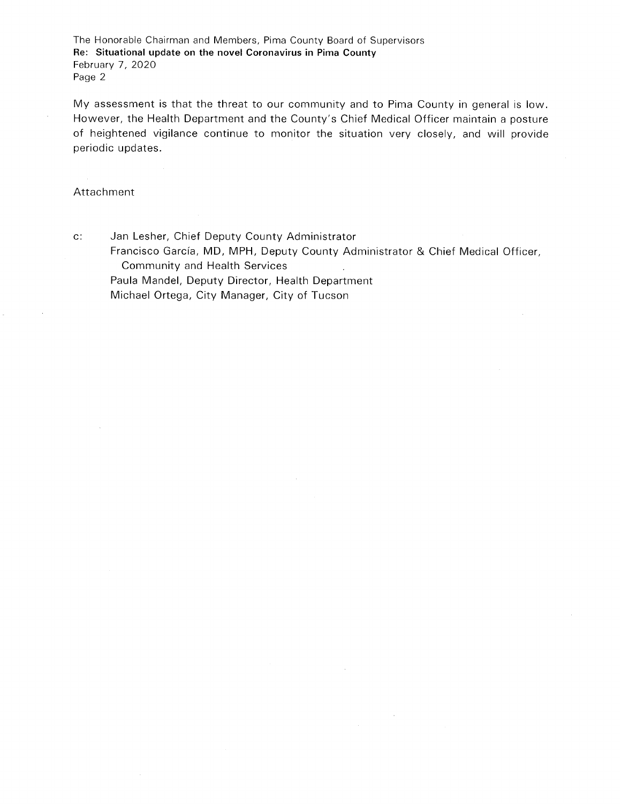The Honorable Chairman and Members, Pima County Board of Supervisors Re: Situational update on the novel Coronavirus in Pima County February 7, 2020 Page 2

My assessment is that the threat to our community and to Pima County in general is low. However, the Health Department and the County's Chief Medical Officer maintain a posture of heightened vigilance continue to monitor the situation very closely, and will provide periodic updates.

#### Attachment

 $\mathbf{c}$ :

Jan Lesher, Chief Deputy County Administrator

Francisco García, MD, MPH, Deputy County Administrator & Chief Medical Officer, **Community and Health Services** 

Paula Mandel, Deputy Director, Health Department Michael Ortega, City Manager, City of Tucson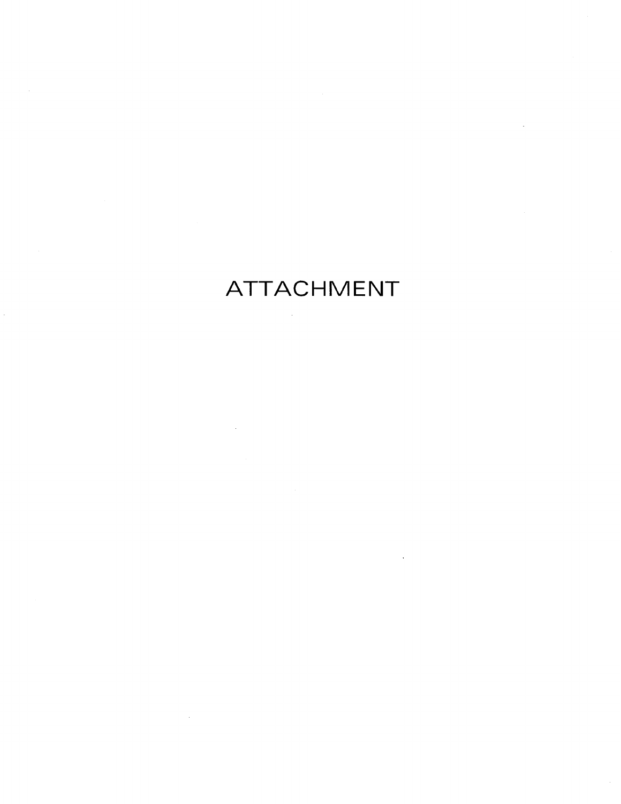# ATTACHMENT